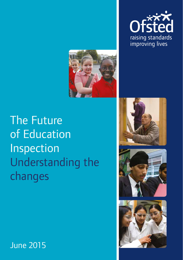











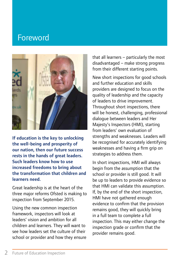### Foreword



If education is the key to unlocking the well-being and prosperity of our nation, then our future success rests in the hands of great leaders. Such leaders know how to use increased freedoms to bring about the transformation that children and learners need.

Great leadership is at the heart of the three major reforms Ofsted is making to inspection from September 2015.

Using the new common inspection framework, inspectors will look at leaders' vision and ambition for all children and learners. They will want to see how leaders set the culture of their school or provider and how they ensure that all learners – particularly the most disadvantaged – make strong progress from their different starting points.

New short inspections for good schools and further education and skills providers are designed to focus on the quality of leadership and the capacity of leaders to drive improvement. Throughout short inspections, there will be honest, challenging, professional dialogue between leaders and Her Majesty's Inspectors (HMI), starting from leaders' own evaluation of strengths and weaknesses. Leaders will be recognised for accurately identifying weaknesses and having a firm grip on strategies to address them.

In short inspections, HMI will always begin from the assumption that the school or provider is still good. It will be up to leaders to provide evidence so that HMI can validate this assumption. If, by the end of the short inspection, HMI have not gathered enough evidence to confirm that the provision remains good, they will quickly bring in a full team to complete a full inspection. This may either change the inspection grade or confirm that the provider remains good.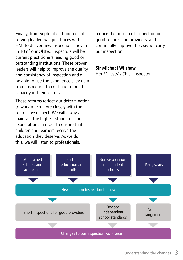Finally, from September, hundreds of serving leaders will join forces with HMI to deliver new inspections. Seven in 10 of our Ofsted Inspectors will be current practitioners leading good or outstanding institutions. These proven leaders will help to improve the quality and consistency of inspection and will be able to use the experience they gain from inspection to continue to build capacity in their sectors.

These reforms reflect our determination to work much more closely with the sectors we inspect. We will always maintain the highest standards and expectations in order to ensure that children and learners receive the education they deserve. As we do this, we will listen to professionals,

reduce the burden of inspection on good schools and providers, and continually improve the way we carry out inspection.

#### Sir Michael Wilshaw

Her Majesty's Chief Inspector

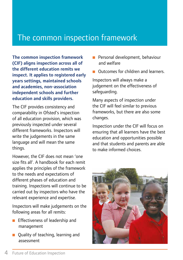## The common inspection framework

The common inspection framework (CIF) aligns inspection across all of the different education remits we inspect. It applies to registered early years settings, maintained schools and academies, non-association independent schools and further education and skills providers.

The CIF provides consistency and comparability in Ofsted's inspection of all education provision, which was previously inspected under several different frameworks. Inspectors will write the judgements in the same language and will mean the same things.

However, the CIF does not mean 'one size fits all'. A handbook for each remit applies the principles of the framework to the needs and expectations of different phases of education and training. Inspections will continue to be carried out by inspectors who have the relevant experience and expertise.

Inspectors will make judgements on the following areas for all remits:

- $\blacksquare$  Effectiveness of leadership and management
- $\Box$  Quality of teaching, learning and assessment
- $\blacksquare$  Personal development, behaviour and welfare
- **D** Outcomes for children and learners.

Inspectors will always make a judgement on the effectiveness of safeguarding.

Many aspects of inspection under the CIF will feel similar to previous frameworks, but there are also some changes.

Inspection under the CIF will focus on ensuring that all learners have the best education and opportunities possible and that students and parents are able to make informed choices.

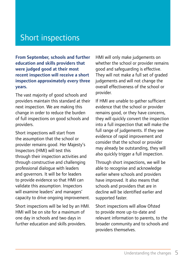## Short inspections

From September, schools and further education and skills providers that were judged good at their most recent inspection will receive a short inspection approximately every three years.

The vast majority of good schools and providers maintain this standard at their next inspection. We are making this change in order to reduce the burden of full inspections on good schools and providers.

Short inspections will start from the assumption that the school or provider remains good. Her Majesty's Inspectors (HMI) will test this through their inspection activities and through constructive and challenging professional dialogue with leaders and governors. It will be for leaders to provide evidence so that HMI can validate this assumption. Inspectors will examine leaders' and managers' capacity to drive ongoing improvement.

Short inspections will be led by an HMI. HMI will be on site for a maximum of one day in schools and two days in further education and skills providers.

HMI will only make judgements on whether the school or provider remains good and safeguarding is effective. They will not make a full set of graded judgements and will not change the overall effectiveness of the school or provider.

If HMI are unable to gather sufficient evidence that the school or provider remains good, or they have concerns, they will quickly convert the inspection into a full inspection that will make the full range of judgements. If they see evidence of rapid improvement and consider that the school or provider may already be outstanding, they will also quickly trigger a full inspection.

Through short inspections, we will be able to recognise and acknowledge earlier where schools and providers have improved. It also means that schools and providers that are in decline will be identified earlier and supported faster.

Short inspections will allow Ofsted to provide more up-to-date and relevant information to parents, to the broader community and to schools and providers themselves.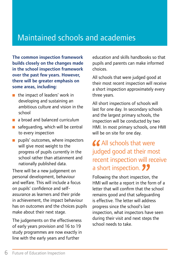# Maintained schools and academies

The common inspection framework builds closely on the changes made in the school inspection framework over the past few years. However, there will be greater emphasis on some areas, including:

- $\blacksquare$  the impact of leaders' work in developing and sustaining an ambitious culture and vision in the school
- $\Box$  a broad and balanced curriculum
- $\blacksquare$  safeguarding, which will be central to every inspection
- **p** pupils' outcomes, where inspectors will give most weight to the progress of pupils currently in the school rather than attainment and nationally published data.

There will be a new judgement on personal development, behaviour and welfare. This will include a focus on pupils' confidence and selfassurance as learners and their pride in achievement, the impact behaviour has on outcomes and the choices pupils make about their next stage.

The judgements on the effectiveness of early years provision and 16 to 19 study programmes are now exactly in line with the early years and further

education and skills handbooks so that pupils and parents can make informed choices.

All schools that were judged good at their most recent inspection will receive a short inspection approximately every three years.

All short inspections of schools will last for one day. In secondary schools and the largest primary schools, the inspection will be conducted by two HMI. In most primary schools, one HMI will be on site for one day.

#### **ALL** schools that were judged good at their most recent inspection will receive a short inspection. 22

Following the short inspection, the HMI will write a report in the form of a letter that will confirm that the school remains good and that safeguarding is effective. The letter will address progress since the school's last inspection, what inspectors have seen during their visit and next steps the school needs to take.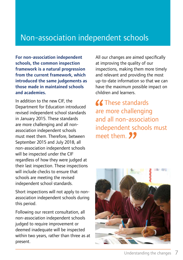### Non-association independent schools

For non-association independent schools, the common inspection framework is a natural progression from the current framework, which introduced the same judgements as those made in maintained schools and academies.

In addition to the new CIF, the Department for Education introduced revised independent school standards in January 2015. These standards are more challenging and all nonassociation independent schools must meet them. Therefore, between September 2015 and July 2018, all non-association independent schools will be inspected under the CIF regardless of how they were judged at their last inspection. These inspections will include checks to ensure that schools are meeting the revised independent school standards.

Short inspections will not apply to nonassociation independent schools during this period.

Following our recent consultation, all non-association independent schools judged to require improvement or deemed inadequate will be inspected within two years, rather than three as at present.

All our changes are aimed specifically at improving the quality of our inspections, making them more timely and relevant and providing the most up-to-date information so that we can have the maximum possible impact on children and learners.

**K** These standards are more challenging and all non-association independent schools must meet them. **99** 

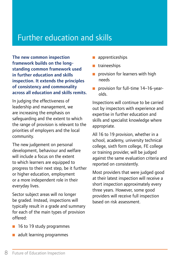## Further education and skills

The new common inspection framework builds on the longstanding common framework used in further education and skills inspection. It extends the principles of consistency and commonality across all education and skills remits.

In judging the effectiveness of leadership and management, we are increasing the emphasis on safeguarding and the extent to which the range of provision is relevant to the priorities of employers and the local community.

The new judgement on personal development, behaviour and welfare will include a focus on the extent to which learners are equipped to progress to their next step, be it further or higher education, employment or a more independent role in their everyday lives.

Sector subject areas will no longer be graded. Instead, inspections will typically result in a grade and summary for each of the main types of provision offered:

- apprenticeships
- $\blacksquare$  traineeships
- $\blacksquare$  provision for learners with high needs
- **p** provision for full-time 14–16-yearolds.

Inspections will continue to be carried out by inspectors with experience and expertise in further education and skills and specialist knowledge where appropriate.

All 16 to 19 provision, whether in a school, academy, university technical college, sixth form college, FE college or training provider, will be judged against the same evaluation criteria and reported on consistently.

Most providers that were judged good at their latest inspection will receive a short inspection approximately every three years. However, some good providers will receive full inspection based on risk assessment.

- **16 to 19 study programmes**
- $\blacksquare$  adult learning programmes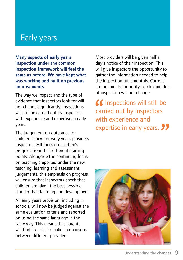## Early years

Many aspects of early years inspection under the common inspection framework will feel the same as before. We have kept what was working and built on previous improvements.

The way we inspect and the type of evidence that inspectors look for will not change significantly. Inspections will still be carried out by inspectors with experience and expertise in early years.

The judgement on outcomes for children is new for early years providers. Inspectors will focus on children's progress from their different starting points. Alongside the continuing focus on teaching (reported under the new teaching, learning and assessment judgement), this emphasis on progress will ensure that inspectors check that children are given the best possible start to their learning and development.

All early years provision, including in schools, will now be judged against the same evaluation criteria and reported on using the same language in the same way. This means that parents will find it easier to make comparisons between different providers.

Most providers will be given half a day's notice of their inspection. This will give inspectors the opportunity to gather the information needed to help the inspection run smoothly. Current arrangements for notifying childminders of inspection will not change.

 $\mathcal{C}$  Inspections will still be carried out by inspectors with experience and expertise in early years. **22** 

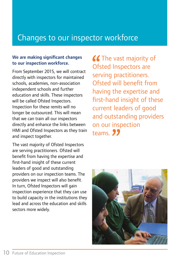## Changes to our inspector workforce

#### We are making significant changes to our inspection workforce.

From September 2015, we will contract directly with inspectors for maintained schools, academies, non-association independent schools and further education and skills. These inspectors will be called Ofsted Inspectors. Inspection for these remits will no longer be outsourced. This will mean that we can train all our inspectors directly and enhance the links between HMI and Ofsted Inspectors as they train and inspect together.

The vast majority of Ofsted Inspectors are serving practitioners. Ofsted will benefit from having the expertise and first-hand insight of these current leaders of good and outstanding providers on our inspection teams. The providers we inspect will also benefit. In turn, Ofsted Inspectors will gain inspection experience that they can use to build capacity in the institutions they lead and across the education and skills sectors more widely.

**66** The vast majority of Ofsted Inspectors are serving practitioners. Ofsted will benefit from having the expertise and first-hand insight of these current leaders of good and outstanding providers on our inspection teams<sup>99</sup>